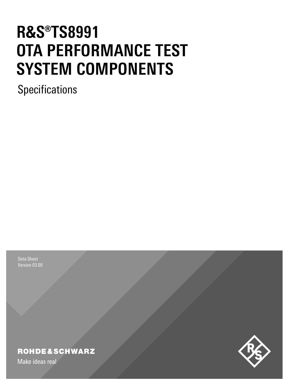# **R&S®TS8991 OTA PERFORMANCE TEST SYSTEM COMPONENTS**

**Specifications** 

Data Sheet Version 03.00

# **ROHDE&SCHWARZ**

Make ideas real

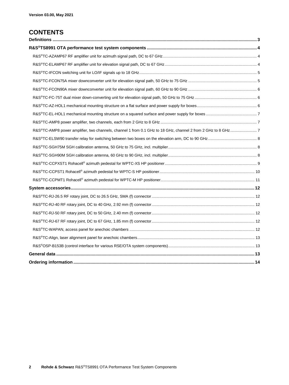### **CONTENTS**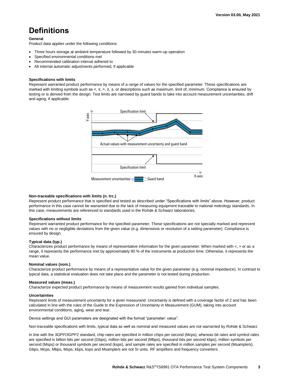# <span id="page-2-0"></span>**Definitions**

#### **General**

Product data applies under the following conditions:

- Three hours storage at ambient temperature followed by 30 minutes warm-up operation
- Specified environmental conditions met
- Recommended calibration interval adhered to
- All internal automatic adjustments performed, if applicable

#### **Specifications with limits**

Represent warranted product performance by means of a range of values for the specified parameter. These specifications are marked with limiting symbols such as <, ≤, >, ≥, ±, or descriptions such as maximum, limit of, minimum. Compliance is ensured by testing or is derived from the design. Test limits are narrowed by guard bands to take into account measurement uncertainties, drift and aging, if applicable.



#### **Non-traceable specifications with limits (n. trc.)**

Represent product performance that is specified and tested as described under "Specifications with limits" above. However, product performance in this case cannot be warranted due to the lack of measuring equipment traceable to national metrology standards. In this case, measurements are referenced to standards used in the Rohde & Schwarz laboratories.

#### **Specifications without limits**

Represent warranted product performance for the specified parameter. These specifications are not specially marked and represent values with no or negligible deviations from the given value (e.g. dimensions or resolution of a setting parameter). Compliance is ensured by design.

#### **Typical data (typ.)**

Characterizes product performance by means of representative information for the given parameter. When marked with  $\lt$ ,  $>$  or as a range, it represents the performance met by approximately 80 % of the instruments at production time. Otherwise, it represents the mean value.

#### **Nominal values (nom.)**

Characterize product performance by means of a representative value for the given parameter (e.g. nominal impedance). In contrast to typical data, a statistical evaluation does not take place and the parameter is not tested during production.

#### **Measured values (meas.)**

Characterize expected product performance by means of measurement results gained from individual samples.

#### **Uncertainties**

Represent limits of measurement uncertainty for a given measurand. Uncertainty is defined with a coverage factor of 2 and has been calculated in line with the rules of the Guide to the Expression of Uncertainty in Measurement (GUM), taking into account environmental conditions, aging, wear and tear.

Device settings and GUI parameters are designated with the format "parameter: value".

Non-traceable specifications with limits, typical data as well as nominal and measured values are not warranted by Rohde & Schwarz.

In line with the 3GPP/3GPP2 standard, chip rates are specified in million chips per second (Mcps), whereas bit rates and symbol rates are specified in billion bits per second (Gbps), million bits per second (Mbps), thousand bits per second kbps), million symbols per second (Msps) or thousand symbols per second (ksps), and sample rates are specified in million samples per second (Msample/s). Gbps, Mcps, Mbps, Msps, kbps, ksps and Msample/s are not SI units. RF amplifiers and frequency converters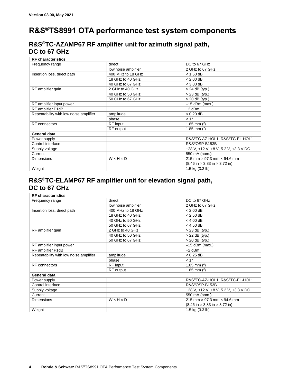# <span id="page-3-0"></span>**R&S®TS8991 OTA performance test system components**

### <span id="page-3-1"></span>**R&S®TC-AZAMP67 RF amplifier unit for azimuth signal path, DC to 67 GHz**

| <b>RF</b> characteristics              |                     |                                                                   |
|----------------------------------------|---------------------|-------------------------------------------------------------------|
| Frequency range                        | direct              | DC to 67 GHz                                                      |
|                                        | low noise amplifier | 2 GHz to 67 GHz                                                   |
| Insertion loss, direct path            | 400 MHz to 18 GHz   | $< 1.50$ dB                                                       |
|                                        | 18 GHz to 40 GHz    | $< 2.00$ dB                                                       |
|                                        | 40 GHz to 67 GHz    | $<$ 3.00 dB                                                       |
| RF amplifier gain                      | 2 GHz to 40 GHz     | $> 24$ dB (typ.)                                                  |
|                                        | 40 GHz to 50 GHz    | $>$ 23 dB (typ.)                                                  |
|                                        | 50 GHz to 67 GHz    | $>$ 20 dB (typ.)                                                  |
| RF amplifier input power               |                     | $-15$ dBm (max.)                                                  |
| RF amplifier P1dB                      |                     | $+2$ dBm                                                          |
| Repeatability with low noise amplifier | amplitude           | $< 0.20$ dB                                                       |
|                                        | phase               | $< 1^{\circ}$                                                     |
| <b>RF</b> connectors                   | RF input            | 1.85 mm $(f)$                                                     |
|                                        | RF output           | 1.85 mm $(f)$                                                     |
| General data                           |                     |                                                                   |
| Power supply                           |                     | R&S <sup>®</sup> TC-AZ-HOL1, R&S <sup>®</sup> TC-EL-HOL1          |
| Control interface                      |                     | R&S®OSP-B153B                                                     |
| Supply voltage                         |                     | +28 V, ±12 V, +8 V, 5.2 V, +3.3 V DC                              |
| Current                                |                     | 550 mA (nom.)                                                     |
| <b>Dimensions</b>                      | WxHxD               | 215 mm x 97.3 mm x 94.6 mm                                        |
|                                        |                     | $(8.46 \text{ in} \times 3.83 \text{ in} \times 3.72 \text{ in})$ |
| Weight                                 |                     | 1.5 kg (3.3 lb)                                                   |

### <span id="page-3-2"></span>**R&S®TC-ELAMP67 RF amplifier unit for elevation signal path, DC to 67 GHz**

| <b>RF</b> characteristics              |                     |                                                                   |
|----------------------------------------|---------------------|-------------------------------------------------------------------|
| Frequency range                        | direct              | DC to 67 GHz                                                      |
|                                        | low noise amplifier | 2 GHz to 67 GHz                                                   |
| Insertion loss, direct path            | 400 MHz to 18 GHz   | $< 2.00$ dB                                                       |
|                                        | 18 GHz to 40 GHz    | $< 2.50$ dB                                                       |
|                                        | 40 GHz to 50 GHz    | $< 4.00$ dB                                                       |
|                                        | 50 GHz to 67 GHz    | $<$ 4.50 dB                                                       |
| RF amplifier gain                      | 2 GHz to 40 GHz     | $>$ 23 dB (typ.)                                                  |
|                                        | 40 GHz to 50 GHz    | $> 22$ dB (typ.)                                                  |
|                                        | 50 GHz to 67 GHz    | $>$ 20 dB (typ.)                                                  |
| RF amplifier input power               |                     | $-15$ dBm (max.)                                                  |
| RF amplifier P1dB                      |                     | $+2$ dBm                                                          |
| Repeatability with low noise amplifier | amplitude           | $< 0.25$ dB                                                       |
|                                        | phase               | $< 1^{\circ}$                                                     |
| <b>RF</b> connectors                   | RF input            | 1.85 mm $(f)$                                                     |
|                                        | RF output           | 1.85 mm $(f)$                                                     |
| General data                           |                     |                                                                   |
| Power supply                           |                     | R&S®TC-AZ-HOL1, R&S®TC-EL-HOL1                                    |
| Control interface                      |                     | R&S®OSP-B153B                                                     |
| Supply voltage                         |                     | +28 V, ±12 V, +8 V, 5.2 V, +3.3 V DC                              |
| Current                                |                     | 550 mA (nom.)                                                     |
| <b>Dimensions</b>                      | WxHxD               | 215 mm × 97.3 mm × 94.6 mm                                        |
|                                        |                     | $(8.46 \text{ in} \times 3.83 \text{ in} \times 3.72 \text{ in})$ |
| Weight                                 |                     | 1.5 kg $(3.3 \text{ lb})$                                         |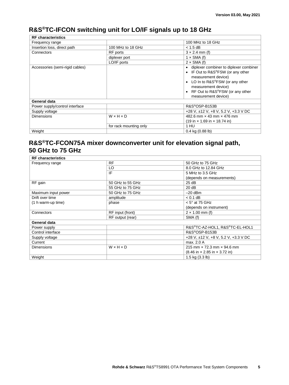### <span id="page-4-0"></span>**R&S®TC-IFCON switching unit for LO/IF signals up to 18 GHz**

| <b>RF</b> characteristics       |                        |                                                                                                                                                                                                                                      |
|---------------------------------|------------------------|--------------------------------------------------------------------------------------------------------------------------------------------------------------------------------------------------------------------------------------|
| Frequency range                 |                        | 100 MHz to 18 GHz                                                                                                                                                                                                                    |
| Insertion loss, direct path     | 100 MHz to 18 GHz      | $< 1.5$ dB                                                                                                                                                                                                                           |
| Connectors                      | RF ports               | $3 \times 2.4$ mm (f)                                                                                                                                                                                                                |
|                                 | diplexer port          | $1 \times$ SMA (f)                                                                                                                                                                                                                   |
|                                 | LO/IF ports            | $2 \times$ SMA (f)                                                                                                                                                                                                                   |
| Accessories (semi-rigid cables) |                        | • diplexer combiner to diplexer combiner<br>• IF Out to R&S®FSW (or any other<br>measurement device)<br>LO In to R&S <sup>®</sup> FSW (or any other<br>measurement device)<br>RF Out to R&S®FSW (or any other<br>measurement device) |
| General data                    |                        |                                                                                                                                                                                                                                      |
| Power supply/control interface  |                        | R&S®OSP-B153B                                                                                                                                                                                                                        |
| Supply voltage                  |                        | +28 V, ±12 V, +8 V, 5.2 V, +3.3 V DC                                                                                                                                                                                                 |
| Dimensions                      | $W \times H \times D$  | 482.6 mm x 43 mm x 476 mm                                                                                                                                                                                                            |
|                                 |                        | $(19 \text{ in} \times 1.69 \text{ in} \times 18.74 \text{ in})$                                                                                                                                                                     |
|                                 | for rack mounting only | 1 HU                                                                                                                                                                                                                                 |
| Weight                          |                        | $0.4$ kg $(0.88$ lb)                                                                                                                                                                                                                 |

### <span id="page-4-1"></span>**R&S®TC-FCON75A mixer downconverter unit for elevation signal path, 50 GHz to 75 GHz**

| <b>RF</b> characteristics |                  |                                                                   |
|---------------------------|------------------|-------------------------------------------------------------------|
| Frequency range           | <b>RF</b>        | 50 GHz to 75 GHz                                                  |
|                           | LO               | 8.0 GHz to 12.84 GHz                                              |
|                           | IF               | 5 MHz to 3.5 GHz                                                  |
|                           |                  | (depends on measurements)                                         |
| RF gain                   | 50 GHz to 55 GHz | 25 dB                                                             |
|                           | 55 GHz to 75 GHz | 20 dB                                                             |
| Maximum input power       | 50 GHz to 75 GHz | $-20$ dBm                                                         |
| Drift over time           | amplitude        | $< 0.1$ dB                                                        |
| (1 h warm-up time)        | phase            | $<$ 5 $^{\circ}$ at 75 GHz                                        |
|                           |                  | (depends on instrument)                                           |
| Connectors                | RF input (front) | $2 \times 1.00$ mm (f)                                            |
|                           | RF output (rear) | SMA (f)                                                           |
| General data              |                  |                                                                   |
| Power supply              |                  | R&S®TC-AZ-HOL1, R&S®TC-EL-HOL1                                    |
| Control interface         |                  | R&S <sup>®</sup> OSP-B153B                                        |
| Supply voltage            |                  | +28 V, $\pm$ 12 V, +8 V, 5.2 V, +3.3 V DC                         |
| Current                   |                  | max. 2.0 A                                                        |
| <b>Dimensions</b>         | WxHxD            | 215 mm $\times$ 72.3 mm $\times$ 94.6 mm                          |
|                           |                  | $(8.46 \text{ in} \times 2.85 \text{ in} \times 3.72 \text{ in})$ |
| Weight                    |                  | 1.5 kg (3.3 lb)                                                   |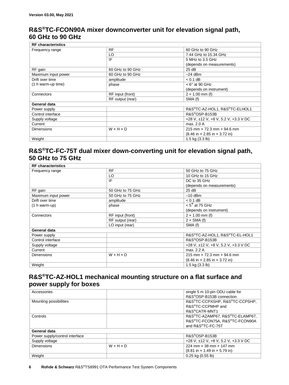### <span id="page-5-0"></span>**R&S®TC-FCON90A mixer downconverter unit for elevation signal path, 60 GHz to 90 GHz**

| <b>RF</b> characteristics |                       |                                                                   |
|---------------------------|-----------------------|-------------------------------------------------------------------|
| Frequency range           | <b>RF</b>             | 60 GHz to 90 GHz                                                  |
|                           | LO                    | 7.44 GHz to 15.34 GHz                                             |
|                           | IF                    | 5 MHz to 3.5 GHz                                                  |
|                           |                       | (depends on measurements)                                         |
| RF gain                   | 60 GHz to 90 GHz      | 25 dB                                                             |
| Maximum input power       | 60 GHz to 90 GHz      | $-24$ dBm                                                         |
| Drift over time           | amplitude             | $< 0.1$ dB                                                        |
| (1 h warm-up time)        | phase                 | $<$ 6 $^{\circ}$ at 90 GHz                                        |
|                           |                       | (depends on instrument)                                           |
| Connectors                | RF input (front)      | $2 \times 1.00$ mm (f)                                            |
|                           | RF output (rear)      | SMA (f)                                                           |
| General data              |                       |                                                                   |
| Power supply              |                       | R&S®TC-AZ-HOL1, R&S®TC-ELHOL1                                     |
| Control interface         |                       | R&S®OSP-B153B                                                     |
| Supply voltage            |                       | +28 V, $\pm$ 12 V, +8 V, 5.2 V, +3.3 V DC                         |
| Current                   |                       | max. 2.0 A                                                        |
| <b>Dimensions</b>         | $W \times H \times D$ | 215 mm x 72.3 mm x 94.6 mm                                        |
|                           |                       | $(8.46 \text{ in} \times 2.85 \text{ in} \times 3.72 \text{ in})$ |
| Weight                    |                       | 1.5 kg $(3.3 \text{ lb})$                                         |

### <span id="page-5-1"></span>**R&S®TC-FC-75T dual mixer down-converting unit for elevation signal path, 50 GHz to 75 GHz**

| <b>RF</b> characteristics |                  |                                                                   |
|---------------------------|------------------|-------------------------------------------------------------------|
| Frequency range           | <b>RF</b>        | 50 GHz to 75 GHz                                                  |
|                           | LO               | 10 GHz to 15 GHz                                                  |
|                           | IF               | DC to 35 GHz                                                      |
|                           |                  | (depends on measurements)                                         |
| RF gain                   | 50 GHz to 75 GHz | 25dB                                                              |
| Maximum input power       | 50 GHz to 75 GHz | $-10$ dBm                                                         |
| Drift over time           | amplitude        | $< 0.1$ dB                                                        |
| $(1 h warm-up)$           | phase            | $\overline{5^{\circ}$ at 75 GHz                                   |
|                           |                  | (depends on instrument)                                           |
| Connectors                | RF input (front) | $2 \times 1.00$ mm (f)                                            |
|                           | RF output (rear) | $2 \times$ SMA (f)                                                |
|                           | LO input (rear)  | SMA (f)                                                           |
| General data              |                  |                                                                   |
| Power supply              |                  | R&S®TC-AZ-HOL1, R&S®TC-EL-HOL1                                    |
| Control interface         |                  | R&S®OSP-B153B                                                     |
| Supply voltage            |                  | +28 V, ±12 V, +8 V, 5.2 V, +3.3 V DC                              |
| Current                   |                  | max. 2.2 A                                                        |
| <b>Dimensions</b>         | WxHxD            | 215 mm $\times$ 72.3 mm $\times$ 94.6 mm                          |
|                           |                  | $(8.46 \text{ in} \times 2.85 \text{ in} \times 3.72 \text{ in})$ |
| Weight                    |                  | 1.5 kg $(3.3 \text{ lb})$                                         |

### <span id="page-5-2"></span>**R&S®TC-AZ-HOL1 mechanical mounting structure on a flat surface and power supply for boxes**

| Accessories                    |       | single 5 m 10-pin ODU cable for                                   |
|--------------------------------|-------|-------------------------------------------------------------------|
|                                |       | R&S®OSP-B153B connection                                          |
| Mounting possibilities         |       | R&S®TC-CCPXSHP, R&S®TC-CCPSHP,                                    |
|                                |       | R&S®TC-CCPMHP and                                                 |
|                                |       | R&S <sup>®</sup> CATR-MNT1                                        |
| Controls                       |       | R&S®TC-AZAMP67. R&S®TC-ELAMP67.                                   |
|                                |       | R&S®TC-FCON75A, R&S®TC-FCON90A                                    |
|                                |       | and R&S®TC-FC-75T                                                 |
| General data                   |       |                                                                   |
| Power supply/control interface |       | R&S®OSP-B153B                                                     |
| Supply voltage                 |       | +28 V, ±12 V, +8 V, 5.2 V, +3.3 V DC                              |
| <b>Dimensions</b>              | WxHxD | 224 mm x 38 mm x 147 mm                                           |
|                                |       | $(8.81 \text{ in} \times 1.49 \text{ in} \times 5.79 \text{ in})$ |
| Weight                         |       | 0.25 kg (0.55 lb)                                                 |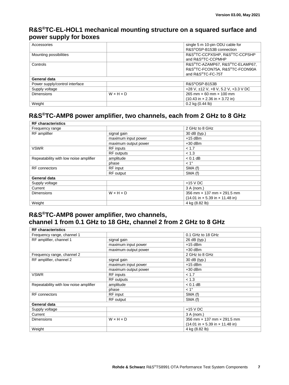#### <span id="page-6-0"></span>**R&S®TC-EL-HOL1 mechanical mounting structure on a squared surface and power supply for boxes**

| Accessories                    |                       | single 5 m 10-pin ODU cable for                                    |
|--------------------------------|-----------------------|--------------------------------------------------------------------|
|                                |                       | R&S <sup>®</sup> OSP-B153B connection                              |
| Mounting possibilities         |                       | R&S <sup>®</sup> TC-CCPXSHP. R&S <sup>®</sup> TC-CCPSHP            |
|                                |                       | and R&S®TC-CCPMHP                                                  |
| Controls                       |                       | R&S®TC-AZAMP67, R&S®TC-ELAMP67,                                    |
|                                |                       | R&S <sup>®</sup> TC-FCON75A. R&S®TC-FCON90A                        |
|                                |                       | and R&S®TC-FC-75T                                                  |
| General data                   |                       |                                                                    |
| Power supply/control interface |                       | R&S®OSP-B153B                                                      |
| Supply voltage                 |                       | +28 V, ±12 V, +8 V, 5.2 V, +3.3 V DC                               |
| Dimensions                     | $W \times H \times D$ | 265 mm × 60 mm × 100 mm                                            |
|                                |                       | $(10.43 \text{ in} \times 2.36 \text{ in} \times 3.72 \text{ in})$ |
| Weight                         |                       | $0.2$ kg $(0.44$ lb)                                               |

### <span id="page-6-1"></span>**R&S®TC-AMP8 power amplifier, two channels, each from 2 GHz to 8 GHz**

| <b>RF</b> characteristics              |                       |                                                                     |
|----------------------------------------|-----------------------|---------------------------------------------------------------------|
| Frequency range                        |                       | 2 GHz to 8 GHz                                                      |
| RF amplifier                           | signal gain           | 30 dB (typ.)                                                        |
|                                        | maximum input power   | $+15$ dBm                                                           |
|                                        | maximum output power  | $+30$ dBm                                                           |
| <b>VSWR</b>                            | <b>RF</b> inputs      | < 1.7                                                               |
|                                        | <b>RF</b> outputs     | < 1.3                                                               |
| Repeatability with low noise amplifier | amplitude             | $< 0.1$ dB                                                          |
|                                        | phase                 | $< 1^{\circ}$                                                       |
| RF connectors                          | RF input              | SMA (f)                                                             |
|                                        | <b>RF</b> output      | SMA (f)                                                             |
| General data                           |                       |                                                                     |
| Supply voltage                         |                       | $+15$ V DC                                                          |
| Current                                |                       | 3 A (nom.)                                                          |
| <b>Dimensions</b>                      | $W \times H \times D$ | 356 mm x 137 mm x 291.5 mm                                          |
|                                        |                       | $(14.01 \text{ in} \times 5.39 \text{ in} \times 11.48 \text{ in})$ |
| Weight                                 |                       | 4 kg (8.82 lb)                                                      |

#### <span id="page-6-2"></span>**R&S®TC-AMP8 power amplifier, two channels, channel 1 from 0.1 GHz to 18 GHz, channel 2 from 2 GHz to 8 GHz**

| <b>RF</b> characteristics              |                       |                                                                     |
|----------------------------------------|-----------------------|---------------------------------------------------------------------|
| Frequency range, channel 1             |                       | 0.1 GHz to 18 GHz                                                   |
| RF amplifier, channel 1                | signal gain           | 26 dB (typ.)                                                        |
|                                        | maximum input power   | $+15$ dBm                                                           |
|                                        | maximum output power  | $+30$ dBm                                                           |
| Frequency range, channel 2             |                       | 2 GHz to 8 GHz                                                      |
| RF amplifier, channel 2                | signal gain           | 30 dB (typ.)                                                        |
|                                        | maximum input power   | $+15$ dBm                                                           |
|                                        | maximum output power  | $+30$ dBm                                                           |
| <b>VSWR</b>                            | RF inputs             | < 1.7                                                               |
|                                        | <b>RF</b> outputs     | < 1.3                                                               |
| Repeatability with low noise amplifier | amplitude             | $< 0.1$ dB                                                          |
|                                        | phase                 | $< 1^{\circ}$                                                       |
| <b>RF</b> connectors                   | RF input              | SMA (f)                                                             |
|                                        | <b>RF</b> output      | SMA (f)                                                             |
| General data                           |                       |                                                                     |
| Supply voltage                         |                       | $+15$ V DC                                                          |
| Current                                |                       | 3 A (nom.)                                                          |
| <b>Dimensions</b>                      | $W \times H \times D$ | 356 mm x 137 mm x 291.5 mm                                          |
|                                        |                       | $(14.01 \text{ in} \times 5.39 \text{ in} \times 11.48 \text{ in})$ |
| Weight                                 |                       | 4 kg (8.82 lb)                                                      |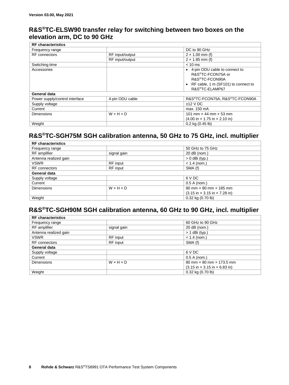### <span id="page-7-0"></span>**R&S®TC-ELSW90 transfer relay for switching between two boxes on the elevation arm, DC to 90 GHz**

| <b>RF</b> characteristics      |                       |                                                                                                                                              |
|--------------------------------|-----------------------|----------------------------------------------------------------------------------------------------------------------------------------------|
| Frequency range                |                       | DC to 90 GHz                                                                                                                                 |
| RF connectors                  | RF input/output       | $2 \times 1.00$ mm (f)                                                                                                                       |
|                                | RF input/output       | $2 \times 1.85$ mm (f)                                                                                                                       |
| Switching time                 |                       | $< 10$ ms                                                                                                                                    |
| Accessories                    |                       | • 4-pin ODU cable to connect to<br>R&S <sup>®</sup> TC-FCON75A or<br>R&S®TC-FCON90A<br>RF cable, 1 m (SF101) to connect to<br>R&S®TC-ELAMP67 |
| General data                   |                       |                                                                                                                                              |
| Power supply/control interface | 4-pin ODU cable       | R&S <sup>®</sup> TC-FCON75A. R&S <sup>®</sup> TC-FCON90A                                                                                     |
| Supply voltage                 |                       | $±12$ V DC                                                                                                                                   |
| Current                        |                       | max. 150 mA                                                                                                                                  |
| <b>Dimensions</b>              | $W \times H \times D$ | 101 mm $\times$ 44 mm $\times$ 53 mm                                                                                                         |
|                                |                       | $(4.00 \text{ in} \times 1.75 \text{ in} \times 2.10 \text{ in})$                                                                            |
| Weight                         |                       | $0.2$ kg $(0.45$ lb)                                                                                                                         |

### <span id="page-7-1"></span>**R&S®TC-SGH75M SGH calibration antenna, 50 GHz to 75 GHz, incl. multiplier**

| <b>RF</b> characteristics |                       |                                                                   |
|---------------------------|-----------------------|-------------------------------------------------------------------|
| Frequency range           |                       | 50 GHz to 75 GHz                                                  |
| RF amplifier              | signal gain           | 20 dB (nom.)                                                      |
| Antenna realized gain     |                       | $> 0$ dBi (typ.)                                                  |
| <b>VSWR</b>               | RF input              | $< 1.4$ (nom.)                                                    |
| RF connectors             | RF input              | SMA (f)                                                           |
| General data              |                       |                                                                   |
| Supply voltage            |                       | 6 V DC                                                            |
| Current                   |                       | $0.5$ A (nom.)                                                    |
| <b>Dimensions</b>         | $W \times H \times D$ | 80 mm x 80 mm x 185 mm                                            |
|                           |                       | $(3.15 \text{ in} \times 3.15 \text{ in} \times 7.28 \text{ in})$ |
| Weight                    |                       | 0.32 kg (0.70 lb)                                                 |

### <span id="page-7-2"></span>**R&S®TC-SGH90M SGH calibration antenna, 60 GHz to 90 GHz, incl. multiplier**

| <b>RF</b> characteristics |             |                                                                   |
|---------------------------|-------------|-------------------------------------------------------------------|
| Frequency range           |             | 60 GHz to 90 GHz                                                  |
| RF amplifier              | signal gain | 20 dB (nom.)                                                      |
| Antenna realized gain     |             | $> 1$ dBi (typ.)                                                  |
| <b>VSWR</b>               | RF input    | $< 1.4$ (nom.)                                                    |
| <b>RF</b> connectors      | RF input    | SMA (f)                                                           |
| General data              |             |                                                                   |
| Supply voltage            |             | 6 V DC                                                            |
| Current                   |             | $0.5$ A (nom.)                                                    |
| <b>Dimensions</b>         | WxHxD       | 80 mm × 80 mm × 173.5 mm                                          |
|                           |             | $(3.15 \text{ in} \times 3.15 \text{ in} \times 6.83 \text{ in})$ |
| Weight                    |             | 0.32 kg (0.70 lb)                                                 |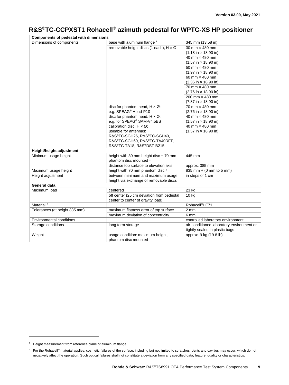# <span id="page-8-0"></span>**R&S®TC-CCPXST1 Rohacell® azimuth pedestal for WPTC-XS HP positioner**

<span id="page-8-1"></span>

| Components of pedestal with dimensions |                                                          |                                             |
|----------------------------------------|----------------------------------------------------------|---------------------------------------------|
| Dimensions of components               | base with aluminum flange <sup>1</sup>                   | 345 mm (13.58 in)                           |
|                                        | removable height discs (1 each), H x Ø                   | $30 \text{ mm} \times 480 \text{ mm}$       |
|                                        |                                                          | $(1.18 \text{ in} \times 18.90 \text{ in})$ |
|                                        |                                                          | 40 mm × 480 mm                              |
|                                        |                                                          | $(1.57 \text{ in} \times 18.90 \text{ in})$ |
|                                        |                                                          | 50 mm $\times$ 480 mm                       |
|                                        |                                                          | $(1.97 \text{ in} \times 18.90 \text{ in})$ |
|                                        |                                                          | 60 mm $\times$ 480 mm                       |
|                                        |                                                          | $(2.36 \text{ in} \times 18.90 \text{ in})$ |
|                                        |                                                          | 70 mm × 480 mm                              |
|                                        |                                                          | $(2.76 \text{ in} \times 18.90 \text{ in})$ |
|                                        |                                                          | 200 mm $\times$ 480 mm                      |
|                                        |                                                          | $(7.87 \text{ in} \times 18.90 \text{ in})$ |
|                                        | disc for phantom head, $H \times \emptyset$ ;            | 70 mm × 480 mm                              |
|                                        | e.g. SPEAG <sup>®</sup> Head-P10                         | $(2.76 \text{ in} \times 18.90 \text{ in})$ |
|                                        | disc for phantom head, $H \times \emptyset$ ;            | 40 mm × 480 mm                              |
|                                        | e.g. for SPEAG® SAM-V4.5BS                               | $(1.57 \text{ in} \times 18.90 \text{ in})$ |
|                                        | calibration disc, $H \times \emptyset$ ;                 | 40 mm × 480 mm                              |
|                                        | useable for antennas:                                    | $(1.57 \text{ in} \times 18.90 \text{ in})$ |
|                                        | R&S®TC-SGH26, R&S®TC-SGH40,                              |                                             |
|                                        | R&S®TC-SGH60, R&S®TC-TA40REF,                            |                                             |
|                                        | R&S®TC-TA18, R&S®DST-B215                                |                                             |
| Height/height adjustment               |                                                          |                                             |
| Minimum usage height                   | height with 30 mm height disc $+70$ mm                   | 445 mm                                      |
|                                        | phantom disc mounted <sup>1</sup>                        |                                             |
|                                        | distance top surface to elevation axis                   | approx. 385 mm                              |
| Maximum usage height                   | height with 70 mm phantom disc <sup>1</sup>              | 835 mm + (0 mm to 5 mm)                     |
| Height adjustment                      | between minimum and maximum usage                        | in steps of 1 cm                            |
|                                        | height via exchange of removable discs                   |                                             |
| <b>General data</b>                    |                                                          |                                             |
| Maximum load                           | centered                                                 | 23 kg                                       |
|                                        | off center (25 cm deviation from pedestal                | 10 kg                                       |
|                                        | center to center of gravity load)                        |                                             |
| Material <sup>2</sup>                  |                                                          | Rohacell <sup>®</sup> HF71                  |
| Tolerances (at height 835 mm)          | maximum flatness error of top surface                    | $2 \, \text{mm}$                            |
|                                        | maximum deviation of concentricity                       | 6 mm                                        |
| <b>Environmental conditions</b>        |                                                          | controlled laboratory environment           |
| Storage conditions                     | long term storage                                        | air-conditioned laboratory environment or   |
|                                        |                                                          | tightly sealed in plastic bags              |
| Weight                                 | usage condition: maximum height,<br>phantom disc mounted | approx. 9 kg (19.8 lb)                      |

 $\overline{a}$ 

<sup>1</sup> Height measurement from reference plane of aluminum flange.

<sup>&</sup>lt;sup>2</sup> For the Rohacell<sup>®</sup> material applies: cosmetic failures of the surface, including but not limited to scratches, dents and cavities may occur, which do not negatively affect the operation. Such optical failures shall not constitute a deviation from any specified data, feature, quality or characteristics.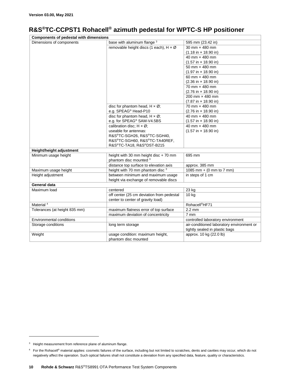# <span id="page-9-0"></span>**R&S®TC-CCPST1 Rohacell® azimuth pedestal for WPTC-S HP positioner**

**Components of pedestal with dimensions**

<span id="page-9-1"></span>

| Components or pedestal with dimensions |                                               |                                             |
|----------------------------------------|-----------------------------------------------|---------------------------------------------|
| Dimensions of components               | base with aluminum flange 3                   | 595 mm (23.42 in)                           |
|                                        | removable height discs (1 each), H x Ø        | $30 \text{ mm} \times 480 \text{ mm}$       |
|                                        |                                               | $(1.18 \text{ in} \times 18.90 \text{ in})$ |
|                                        |                                               | 40 mm × 480 mm                              |
|                                        |                                               | $(1.57 \text{ in} \times 18.90 \text{ in})$ |
|                                        |                                               | 50 mm $\times$ 480 mm                       |
|                                        |                                               | $(1.97 \text{ in} \times 18.90 \text{ in})$ |
|                                        |                                               | 60 mm $\times$ 480 mm                       |
|                                        |                                               | $(2.36 \text{ in} \times 18.90 \text{ in})$ |
|                                        |                                               | 70 mm × 480 mm                              |
|                                        |                                               | $(2.76 \text{ in} \times 18.90 \text{ in})$ |
|                                        |                                               | 200 mm × 480 mm                             |
|                                        |                                               | $(7.87 \text{ in} \times 18.90 \text{ in})$ |
|                                        | disc for phantom head, $H \times \emptyset$ ; | 70 mm × 480 mm                              |
|                                        | e.g. SPEAG <sup>®</sup> Head-P10              | $(2.76 \text{ in} \times 18.90 \text{ in})$ |
|                                        | disc for phantom head, $H \times \emptyset$ ; | 40 mm × 480 mm                              |
|                                        | e.g. for SPEAG® SAM-V4.5BS                    | $(1.57 \text{ in} \times 18.90 \text{ in})$ |
|                                        | calibration disc; $H \times \emptyset$ ;      | 40 mm × 480 mm                              |
|                                        | useable for antennas:                         | $(1.57 \text{ in} \times 18.90 \text{ in})$ |
|                                        | R&S®TC-SGH26, R&S®TC-SGH40,                   |                                             |
|                                        | R&S®TC-SGH60, R&S®TC-TA40REF,                 |                                             |
|                                        | R&S®TC-TA18, R&S®DST-B215                     |                                             |
| Height/height adjustment               |                                               |                                             |
| Minimum usage height                   | height with 30 mm height disc $+70$ mm        | 695 mm                                      |
|                                        | phantom disc mounted 3                        |                                             |
|                                        | distance top surface to elevation axis        | approx. 385 mm                              |
| Maximum usage height                   | height with 70 mm phantom disc 3              | 1085 mm + (0 mm to 7 mm)                    |
| Height adjustment                      | between minimum and maximum usage             | in steps of 1 cm                            |
|                                        | height via exchange of removable discs        |                                             |
| General data                           |                                               |                                             |
| Maximum load                           | centered                                      | 23 kg                                       |
|                                        | off center (25 cm deviation from pedestal     | 10 <sub>kg</sub>                            |
|                                        | center to center of gravity load)             |                                             |
| Material <sup>4</sup>                  |                                               | Rohacell <sup>®</sup> HF71                  |
| Tolerances (at height 835 mm)          | maximum flatness error of top surface         | $2.2 \text{ mm}$                            |
|                                        | maximum deviation of concentricity            | 7 mm                                        |
| <b>Environmental conditions</b>        |                                               | controlled laboratory environment           |
| Storage conditions                     | long term storage                             | air-conditioned laboratory environment or   |
|                                        |                                               | tightly sealed in plastic bags              |
| Weight                                 | usage condition: maximum height,              | approx. 10 kg (22.0 lb)                     |
|                                        | phantom disc mounted                          |                                             |

 $\overline{a}$ 

<sup>&</sup>lt;sup>3</sup> Height measurement from reference plane of aluminum flange.

<sup>&</sup>lt;sup>4</sup> For the Rohacell<sup>®</sup> material applies: cosmetic failures of the surface, including but not limited to scratches, dents and cavities may occur, which do not negatively affect the operation. Such optical failures shall not constitute a deviation from any specified data, feature, quality or characteristics.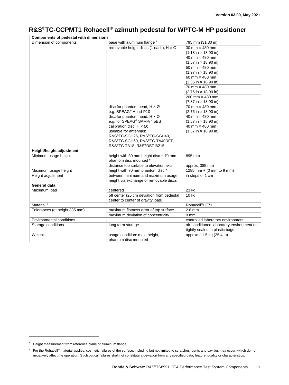# <span id="page-10-0"></span>**R&S®TC-CCPMT1 Rohacell® azimuth pedestal for WPTC-M HP positioner**

<span id="page-10-1"></span>

| Components of pedestal with dimensions |                                               |                                             |
|----------------------------------------|-----------------------------------------------|---------------------------------------------|
| Dimension of components                | base with aluminum flange <sup>5</sup>        | 795 mm (31.30 in)                           |
|                                        | removable height discs (1 each), H x Ø        | $30 \text{ mm} \times 480 \text{ mm}$       |
|                                        |                                               | $(1.18 \text{ in} \times 18.90 \text{ in})$ |
|                                        |                                               | 40 mm × 480 mm                              |
|                                        |                                               | $(1.57 \text{ in} \times 18.90 \text{ in})$ |
|                                        |                                               | 50 mm $\times$ 480 mm                       |
|                                        |                                               | $(1.97 \text{ in} \times 18.90 \text{ in})$ |
|                                        |                                               | 60 mm $\times$ 480 mm                       |
|                                        |                                               | $(2.36 \text{ in} \times 18.90 \text{ in})$ |
|                                        |                                               | 70 mm × 480 mm                              |
|                                        |                                               | $(2.76 \text{ in} \times 18.90 \text{ in})$ |
|                                        |                                               | 200 mm × 480 mm                             |
|                                        |                                               | $(7.87 \text{ in} \times 18.90 \text{ in})$ |
|                                        | disc for phantom head, $H \times \emptyset$ ; | 70 mm × 480 mm                              |
|                                        | e.g. SPEAG <sup>®</sup> Head-P10              | (2.76 in x 18.90 in)                        |
|                                        | disc for phantom head, $H \times \emptyset$ ; | 40 mm × 480 mm                              |
|                                        | e.g. for SPEAG® SAM-V4.5BS                    | $(1.57 \text{ in} \times 18.90 \text{ in})$ |
|                                        | calibration disc; $H \times \emptyset$ ;      | 40 mm × 480 mm                              |
|                                        | useable for antennas:                         | $(1.57 \text{ in} \times 18.90 \text{ in})$ |
|                                        | R&S®TC-SGH26, R&S®TC-SGH40,                   |                                             |
|                                        | R&S®TC-SGH60, R&S®TC-TA40REF,                 |                                             |
|                                        | R&S®TC-TA18, R&S®DST-B215                     |                                             |
| Height/height adjustment               |                                               |                                             |
| Minimum usage height                   | height with 30 mm height disc + 70 mm         | 895 mm                                      |
|                                        | phantom disc mounted <sup>5</sup>             |                                             |
|                                        | distance top surface to elevation axis        | approx. 385 mm                              |
| Maximum usage height                   | height with 70 mm phantom disc <sup>5</sup>   | 1285 mm + (0 mm to 9 mm)                    |
| Height adjustment                      | between minimum and maximum usage             | in steps of 1 cm                            |
|                                        | height via exchange of removable discs        |                                             |
| General data                           |                                               |                                             |
| Maximum load                           | centered                                      | 23 kg                                       |
|                                        | off center (25 cm deviation from pedestal     | $10$ kg                                     |
|                                        | center to center of gravity load)             |                                             |
| Material <sup>6</sup>                  |                                               | Rohacell <sup>®</sup> HF71                  |
| Tolerances (at height 835 mm)          | maximum flatness error of top surface         | $2.8 \text{ mm}$                            |
|                                        | maximum deviation of concentricity            | 9 <sub>mm</sub>                             |
| <b>Environmental conditions</b>        |                                               | controlled laboratory environment           |
| Storage conditions                     | long term storage                             | air-conditioned laboratory environment or   |
|                                        |                                               | tightly sealed in plastic bags              |
| Weight                                 | usage condition: max. height,                 | approx. 11.5 kg (25.4 lb)                   |
|                                        | phantom disc mounted                          |                                             |

 $\overline{a}$ 

<sup>5</sup> Height measurement from reference plane of aluminum flange.

<sup>&</sup>lt;sup>6</sup> For the Rohacell<sup>®</sup> material applies: cosmetic failures of the surface, including but not limited to scratches, dents and cavities may occur, which do not negatively affect the operation. Such optical failures shall not constitute a deviation from any specified data, feature, quality or characteristics.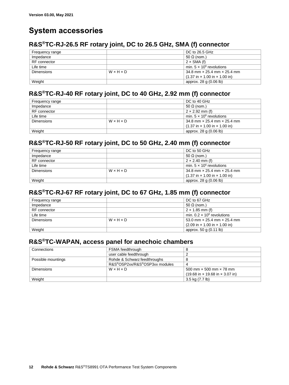# <span id="page-11-0"></span>**System accessories**

### <span id="page-11-1"></span>**R&S®TC-RJ-26.5 RF rotary joint, DC to 26.5 GHz, SMA (f) connector**

| Frequency range   |       | DC to 26.5 GHz                                                    |
|-------------------|-------|-------------------------------------------------------------------|
| Impedance         |       | 50 $\Omega$ (nom.)                                                |
| RF connector      |       | $2 \times$ SMA (f)                                                |
| Life time         |       | min. $5 \times 10^6$ revolutions                                  |
| <b>Dimensions</b> | WxHxD | 34.8 mm $\times$ 25.4 mm $\times$ 25.4 mm                         |
|                   |       | $(1.37 \text{ in} \times 1.00 \text{ in} \times 1.00 \text{ in})$ |
| Weight            |       | approx. 28 g (0.06 lb)                                            |

### <span id="page-11-2"></span>**R&S®TC-RJ-40 RF rotary joint, DC to 40 GHz, 2.92 mm (f) connector**

| Frequency range   |       | DC to 40 GHz                                                      |
|-------------------|-------|-------------------------------------------------------------------|
| Impedance         |       | 50 $\Omega$ (nom.)                                                |
| RF connector      |       | $2 \times 2.92$ mm (f)                                            |
| Life time         |       | min. $5 \times 10^6$ revolutions                                  |
| <b>Dimensions</b> | WxHxD | 34.8 mm $\times$ 25.4 mm $\times$ 25.4 mm                         |
|                   |       | $(1.37 \text{ in} \times 1.00 \text{ in} \times 1.00 \text{ in})$ |
| Weight            |       | approx. 28 g (0.06 lb)                                            |

#### <span id="page-11-3"></span>**R&S®TC-RJ-50 RF rotary joint, DC to 50 GHz, 2.40 mm (f) connector**

| Frequency range   |       | DC to 50 GHz                                                      |
|-------------------|-------|-------------------------------------------------------------------|
| Impedance         |       | 50 $\Omega$ (nom.)                                                |
| RF connector      |       | $2 \times 2.40$ mm (f)                                            |
| Life time         |       | min. $5 \times 10^6$ revolutions                                  |
| <b>Dimensions</b> | WxHxD | 34.8 mm $\times$ 25.4 mm $\times$ 25.4 mm                         |
|                   |       | $(1.37 \text{ in} \times 1.00 \text{ in} \times 1.00 \text{ in})$ |
| Weight            |       | approx. 28 g (0.06 lb)                                            |

### <span id="page-11-4"></span>**R&S®TC-RJ-67 RF rotary joint, DC to 67 GHz, 1.85 mm (f) connector**

| Frequency range   |       | DC to 67 GHz                                                      |
|-------------------|-------|-------------------------------------------------------------------|
| Impedance         |       | 50 $\Omega$ (nom.)                                                |
| RF connector      |       | $2 \times 1.85$ mm (f)                                            |
| Life time         |       | min. $0.2 \times 10^6$ revolutions                                |
| <b>Dimensions</b> | WxHxD | 53.0 mm $\times$ 25.4 mm $\times$ 25.4 mm                         |
|                   |       | $(2.09 \text{ in} \times 1.00 \text{ in} \times 1.00 \text{ in})$ |
| Weight            |       | approx. 50 g (0.11 lb)                                            |

#### <span id="page-11-5"></span>**R&S®TC-WAPAN, access panel for anechoic chambers**

| Connections        | FSMA feedthrough              |                                                                     |
|--------------------|-------------------------------|---------------------------------------------------------------------|
|                    | user cable feedthrough        |                                                                     |
| Possible mountings | Rohde & Schwarz feedthroughs  |                                                                     |
|                    | R&S®OSP2xx/R&S®OSP3xx modules | 4                                                                   |
| <b>Dimensions</b>  | WxHxD                         | 500 mm $\times$ 500 mm $\times$ 78 mm                               |
|                    |                               | $(19.68 \text{ in} \times 19.68 \text{ in} \times 3.07 \text{ in})$ |
| Weight             |                               | 3.5 kg (7.7 lb)                                                     |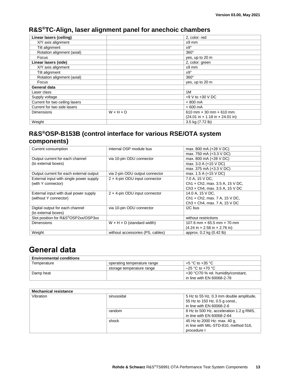### <span id="page-12-0"></span>**R&S®TC-Align, laser alignment panel for anechoic chambers**

| Linear lasers (ceiling)        |                       | 2, color: red                                                       |
|--------------------------------|-----------------------|---------------------------------------------------------------------|
| X/Y axis alignment             |                       | $±9$ mm                                                             |
| Tilt alignment                 |                       | ±9°                                                                 |
| Rotation alignment (axial)     |                       | $360^\circ$                                                         |
| Focus                          |                       | yes, up to 20 m                                                     |
| Linear lasers (side)           |                       | 2, color: green                                                     |
| X/Y axis alignment             |                       | $±9$ mm                                                             |
| Tilt alignment                 |                       | ±9°                                                                 |
| Rotation alignment (axial)     |                       | $360^\circ$                                                         |
| Focus                          |                       | yes, up to 20 m                                                     |
| General data                   |                       |                                                                     |
| Laser class                    |                       | 1M                                                                  |
| Supply voltage                 |                       | $+9$ V to $+30$ V DC                                                |
| Current for two ceiling lasers |                       | $< 800$ mA                                                          |
| Current for two side lasers    |                       | $< 600$ mA                                                          |
| <b>Dimensions</b>              | $W \times H \times D$ | 610 mm $\times$ 30 mm $\times$ 610 mm                               |
|                                |                       | $(24.01 \text{ in} \times 1.18 \text{ in} \times 24.01 \text{ in})$ |
| Weight                         |                       | 3.5 kg (7.72 lb)                                                    |

### <span id="page-12-1"></span>**R&S®OSP-B153B (control interface for various RSE/OTA system components)**

| Current consumption                     | internal OSP module bus                | max. 800 mA (+28 V DC)                                            |
|-----------------------------------------|----------------------------------------|-------------------------------------------------------------------|
|                                         |                                        | max. 750 mA (+3.3 V DC)                                           |
| Output current for each channel         | via 10-pin ODU connector               | max. 800 mA (+28 V DC)                                            |
| (to external boxes)                     |                                        | max. $3.0 A (+15 V DC)$                                           |
|                                         |                                        | max. 375 mA (+3.3 V DC)                                           |
| Output current for each external output | via 2-pin ODU output connector         | max. $1.5 A (+15 V DC)$                                           |
| External input with single power supply | $2 \times 4$ -pin ODU input connector  | 7.0 A, 15 V DC,                                                   |
| (with Y connector)                      |                                        | $Ch1 + Ch2$ , max. 3.5 A, 15 V DC,                                |
|                                         |                                        | $Ch3 + Ch4$ , max. 3.5 A, 15 V DC                                 |
| External input with dual power supply   | $2 \times 4$ -pin ODU input connector  | 14.0 A. 15 V DC.                                                  |
| (without Y connector)                   |                                        | $Ch1 + Ch2$ , max. 7 A, 15 V DC,                                  |
|                                         |                                        | $Ch3 + Ch4$ , max. 7 A, 15 V DC                                   |
| Digital output for each channel         | via 10-pin ODU connector               | I <sub>2</sub> C bus                                              |
| (to external boxes)                     |                                        |                                                                   |
| Slot position for R&S®OSP2xx/OSP3xx     |                                        | without restrictions                                              |
| <b>Dimensions</b>                       | $W \times H \times D$ (standard width) | 107.6 mm $\times$ 65.5 mm $\times$ 70 mm                          |
|                                         |                                        | $(4.24 \text{ in} \times 2.58 \text{ in} \times 2.76 \text{ in})$ |
| Weight                                  | without accessories (PS, cables)       | approx. 0.2 kg (0.42 lb)                                          |

# <span id="page-12-2"></span>**General data**

| <b>Environmental conditions</b> |                                     |                            |  |  |
|---------------------------------|-------------------------------------|----------------------------|--|--|
| Temperature                     | operating temperature range         | $+5$ °C to $+35$ °C        |  |  |
|                                 | storage temperature range           | $-25$ °C to +70 °C         |  |  |
| Damp heat                       | +30 °C/70 % rel. humidity/constant, |                            |  |  |
|                                 |                                     | in line with EN 60068-2-78 |  |  |

| <b>Mechanical resistance</b> |            |                                         |  |  |
|------------------------------|------------|-----------------------------------------|--|--|
| Vibration                    | sinusoidal | 5 Hz to 55 Hz, 0.3 mm double amplitude, |  |  |
|                              |            | 55 Hz to 150 Hz, 0.5 g const.,          |  |  |
|                              |            | in line with EN 60068-2-6               |  |  |
|                              | random     | 8 Hz to 500 Hz, acceleration 1.2 g RMS, |  |  |
|                              |            | in line with EN 60068-2-64              |  |  |
|                              | shock      | 45 Hz to 2000 Hz: max. 40 g,            |  |  |
|                              |            | in line with MIL-STD-810, method 516,   |  |  |
|                              |            | procedure I                             |  |  |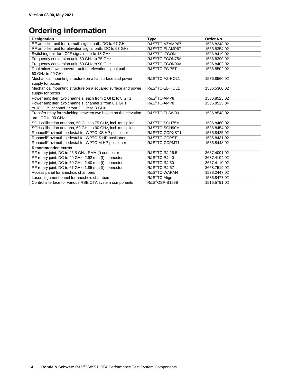# <span id="page-13-0"></span>**Ordering information**

| <b>Designation</b>                                               | <b>Type</b>                        | Order No.    |  |  |
|------------------------------------------------------------------|------------------------------------|--------------|--|--|
| RF amplifier unit for azimuth signal path, DC to 67 GHz          | R&S®TC-AZAMP67                     | 1536.8348.02 |  |  |
| RF amplifier unit for elevation signal path, DC to 67 GHz        | R&S <sup>®</sup> TC-ELAMP67        | 1533.8354.02 |  |  |
| Switching unit for LO/IF signals, up to 18 GHz                   | R&S®TC-IFCON                       | 1536.8419.02 |  |  |
| Frequency conversion unit, 50 GHz to 75 GHz                      | R&S®TC-FCON75A                     | 1536.8390.02 |  |  |
| Frequency conversion unit, 60 GHz to 90 GHz                      | R&S <sup>®</sup> TC-FCON90A        | 1536.8402.02 |  |  |
| Dual mixer downconverter unit for elevation signal path,         | R&S <sup>®</sup> TC-FC-75T         | 1536.8502.02 |  |  |
| 60 GHz to 90 GHz                                                 |                                    |              |  |  |
| Mechanical mounting structure on a flat surface and power        | R&S <sup>®</sup> TC-AZ-HOL1        | 1536.8560.02 |  |  |
| supply for boxes                                                 |                                    |              |  |  |
| Mechanical mounting structure on a squared surface and power     | R&S®TC-EL-HOL1                     | 1536.5360.02 |  |  |
| supply for boxes                                                 |                                    |              |  |  |
| Power amplifier, two channels, each from 2 GHz to 8 GHz          | R&S <sup>®</sup> TC-AMP8           | 1536.8525.02 |  |  |
| Power amplifier, two channels, channel 1 from 0.1 GHz            | R&S <sup>®</sup> TC-AMP8           | 1536.8525.04 |  |  |
| to 18 GHz, channel 2 from 2 GHz to 8 GHz                         |                                    |              |  |  |
| Transfer relay for switching between two boxes on the elevation  | R&S®TC-ELSW90                      | 1536.8548.02 |  |  |
| arm, DC to 90 GHz                                                |                                    |              |  |  |
| SGH calibration antenna, 50 GHz to 75 GHz, incl. multiplier      | R&S®TC-SGH75M                      | 1536.8460.02 |  |  |
| SGH calibration antenna, 60 GHz to 90 GHz, incl. multiplier      | R&S <sup>®</sup> TC-SGH90M         | 1536.8454.02 |  |  |
| Rohacell <sup>®</sup> azimuth pedestal for WPTC-XS HP positioner | R&S <sup>®</sup> TC-CCPXST1        | 1536.8425.02 |  |  |
| Rohacell <sup>®</sup> azimuth pedestal for WPTC-S HP positioner  | R&S®TC-CCPST1                      | 1536.8431.02 |  |  |
| Rohacell <sup>®</sup> azimuth pedestal for WPTC-M HP positioner  | R&S®TC-CCPMT1                      | 1536.8448.02 |  |  |
| <b>Recommended extras</b>                                        |                                    |              |  |  |
| RF rotary joint, DC to 26.5 GHz, SMA (f) connector               | R&S <sup>®</sup> TC-RJ-26.5        | 3637.4091.02 |  |  |
| RF rotary joint, DC to 40 GHz, 2.92 mm (f) connector             | <b>R&amp;S<sup>®</sup>TC-RJ-40</b> | 3637.4104.02 |  |  |
| RF rotary joint, DC to 50 GHz, 2.40 mm (f) connector             | R&S <sup>®</sup> TC-RJ-50          | 3637.4110.02 |  |  |
| RF rotary joint, DC to 67 GHz, 1.85 mm (f) connector             | R&S <sup>®</sup> TC-RJ-67          | 3658.7519.02 |  |  |
| Access panel for anechoic chambers                               | R&S <sup>®</sup> TC-WAPAN          | 1538.2447.02 |  |  |
| Laser alignment panel for anechoic chambers                      | R&S <sup>®</sup> TC-Align          | 1536.8477.02 |  |  |
| Control interface for various RSE/OTA system components          | R&S®OSP-B153B                      | 1515.5791.02 |  |  |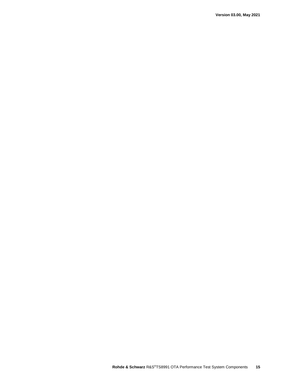**Version 03.00, May 2021**